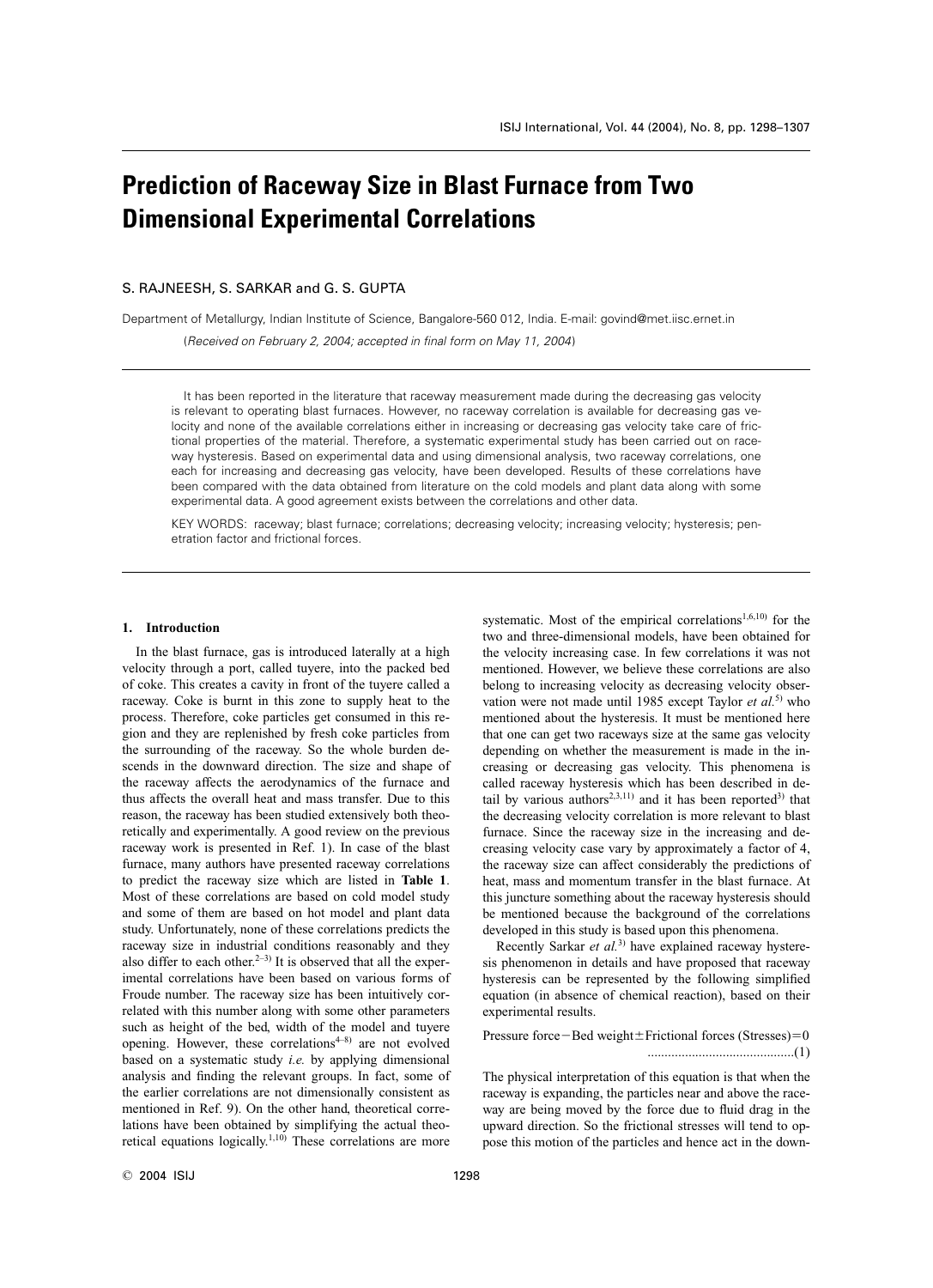# **Prediction of Raceway Size in Blast Furnace from Two Dimensional Experimental Correlations**

## S. RAJNEESH, S. SARKAR and G. S. GUPTA

Department of Metallurgy, Indian Institute of Science, Bangalore-560 012, India. E-mail: govind@met.iisc.ernet.in

(Received on February 2, 2004; accepted in final form on May 11, 2004)

It has been reported in the literature that raceway measurement made during the decreasing gas velocity is relevant to operating blast furnaces. However, no raceway correlation is available for decreasing gas velocity and none of the available correlations either in increasing or decreasing gas velocity take care of frictional properties of the material. Therefore, a systematic experimental study has been carried out on raceway hysteresis. Based on experimental data and using dimensional analysis, two raceway correlations, one each for increasing and decreasing gas velocity, have been developed. Results of these correlations have been compared with the data obtained from literature on the cold models and plant data along with some experimental data. A good agreement exists between the correlations and other data.

KEY WORDS: raceway; blast furnace; correlations; decreasing velocity; increasing velocity; hysteresis; penetration factor and frictional forces.

#### **1. Introduction**

In the blast furnace, gas is introduced laterally at a high velocity through a port, called tuyere, into the packed bed of coke. This creates a cavity in front of the tuyere called a raceway. Coke is burnt in this zone to supply heat to the process. Therefore, coke particles get consumed in this region and they are replenished by fresh coke particles from the surrounding of the raceway. So the whole burden descends in the downward direction. The size and shape of the raceway affects the aerodynamics of the furnace and thus affects the overall heat and mass transfer. Due to this reason, the raceway has been studied extensively both theoretically and experimentally. A good review on the previous raceway work is presented in Ref. 1). In case of the blast furnace, many authors have presented raceway correlations to predict the raceway size which are listed in **Table 1**. Most of these correlations are based on cold model study and some of them are based on hot model and plant data study. Unfortunately, none of these correlations predicts the raceway size in industrial conditions reasonably and they also differ to each other.<sup>2-3)</sup> It is observed that all the experimental correlations have been based on various forms of Froude number. The raceway size has been intuitively correlated with this number along with some other parameters such as height of the bed, width of the model and tuyere opening. However, these correlations $4-8$  are not evolved based on a systematic study *i.e.* by applying dimensional analysis and finding the relevant groups. In fact, some of the earlier correlations are not dimensionally consistent as mentioned in Ref. 9). On the other hand, theoretical correlations have been obtained by simplifying the actual theoretical equations logically.<sup>1,10)</sup> These correlations are more

systematic. Most of the empirical correlations<sup>1,6,10)</sup> for the two and three-dimensional models, have been obtained for the velocity increasing case. In few correlations it was not mentioned. However, we believe these correlations are also belong to increasing velocity as decreasing velocity observation were not made until 1985 except Taylor *et al.*5) who mentioned about the hysteresis. It must be mentioned here that one can get two raceways size at the same gas velocity depending on whether the measurement is made in the increasing or decreasing gas velocity. This phenomena is called raceway hysteresis which has been described in detail by various authors<sup>2,3,11)</sup> and it has been reported<sup>3)</sup> that the decreasing velocity correlation is more relevant to blast furnace. Since the raceway size in the increasing and decreasing velocity case vary by approximately a factor of 4, the raceway size can affect considerably the predictions of heat, mass and momentum transfer in the blast furnace. At this juncture something about the raceway hysteresis should be mentioned because the background of the correlations developed in this study is based upon this phenomena.

Recently Sarkar *et al.*3) have explained raceway hysteresis phenomenon in details and have proposed that raceway hysteresis can be represented by the following simplified equation (in absence of chemical reaction), based on their experimental results.

Pressure force – Bed weight  $\pm$  Frictional forces (Stresses) = 0 ...........................................(1)

The physical interpretation of this equation is that when the raceway is expanding, the particles near and above the raceway are being moved by the force due to fluid drag in the upward direction. So the frictional stresses will tend to oppose this motion of the particles and hence act in the down-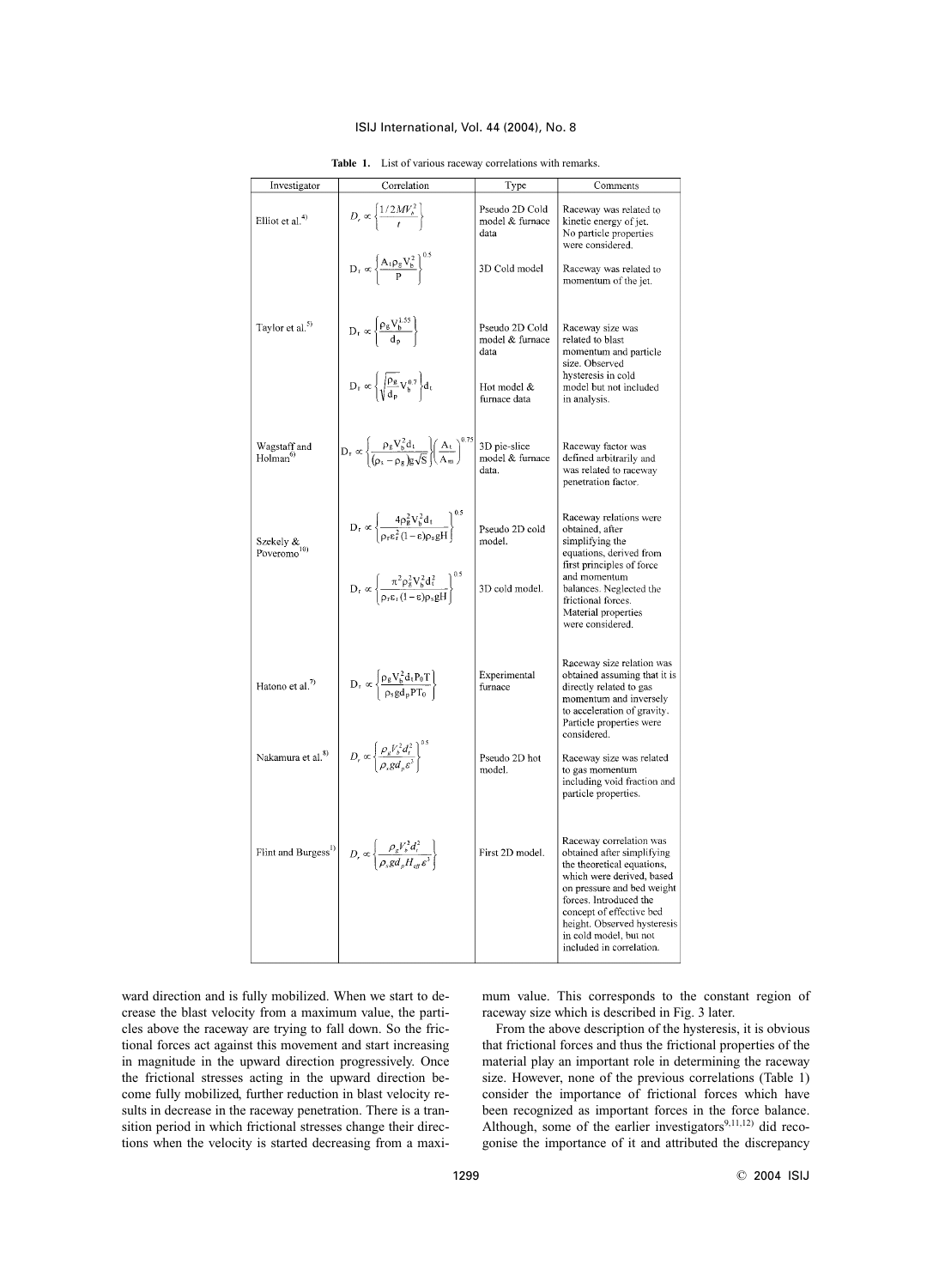### ISIJ International, Vol. 44 (2004), No. 8

| Investigator                         | Correlation                                                                                                                                                                                                               | Type                                      | Comments                                                                                                                                                                                                                                                                                  |
|--------------------------------------|---------------------------------------------------------------------------------------------------------------------------------------------------------------------------------------------------------------------------|-------------------------------------------|-------------------------------------------------------------------------------------------------------------------------------------------------------------------------------------------------------------------------------------------------------------------------------------------|
| Elliot et al. $4)$                   | $D_r \propto \left\{\frac{1/2MV_b^2}{t}\right\}$                                                                                                                                                                          | Pseudo 2D Cold<br>model & furnace<br>data | Raceway was related to<br>kinetic energy of jet.<br>No particle properties<br>were considered.                                                                                                                                                                                            |
|                                      | $D_r \propto \left\{ \frac{A_1 \rho_g V_b^2}{p} \right\}^{0.5}$                                                                                                                                                           | 3D Cold model                             | Raceway was related to<br>momentum of the jet.                                                                                                                                                                                                                                            |
| Taylor et al. <sup>5)</sup>          | $D_r \propto \left\{ \frac{\rho_g V_b^{1.55}}{d_n} \right\}$                                                                                                                                                              | Pseudo 2D Cold<br>model & furnace<br>data | Raceway size was<br>related to blast<br>momentum and particle<br>size. Observed                                                                                                                                                                                                           |
|                                      | $D_r \propto \left\{ \sqrt{\frac{\rho_g}{d_p}} V_b^{0.7} \right\} d_t$                                                                                                                                                    | Hot model &<br>furnace data               | hysteresis in cold<br>model but not included<br>in analysis.                                                                                                                                                                                                                              |
| Wagstaff and<br>Holman <sup>6)</sup> | $\left  {\rm D}_{\rm r} \propto \left\{ \frac{\rho_{\rm g} V_{\rm b}^2 {\rm d}_{\rm t}}{(\rho_{\rm s} - \rho_{\rm \sigma}) {\rm g} \sqrt{\rm S}} \right\} \left( \frac{{\rm A}_{\rm t}}{ {\rm A}_{\rm m}} \right)^{0.75}$ | 3D pie-slice<br>model & furnace<br>data.  | Raceway factor was<br>defined arbitrarily and<br>was related to raceway<br>penetration factor.                                                                                                                                                                                            |
| Szekely &<br>Poveromo                | $D_r \propto \left\{ \frac{4\rho_g^2 V_b^2 d_t}{\rho_r \epsilon_r^2 (1-\epsilon)\rho_r \rho H} \right\}^{0.5}$                                                                                                            | Pseudo 2D cold<br>model.                  | Raceway relations were<br>obtained, after<br>simplifying the<br>equations, derived from<br>first principles of force                                                                                                                                                                      |
|                                      | $D_r \propto \left\{ \frac{\pi^2 \rho_g^2 V_b^2 d_t^2}{\rho_r \varepsilon_r (1-\varepsilon) \rho_s \rho H} \right\}^{0.5}$                                                                                                | 3D cold model.                            | and momentum<br>balances. Neglected the<br>frictional forces.<br>Material properties<br>were considered.                                                                                                                                                                                  |
| Hatono et al. <sup>7)</sup>          | $D_r \propto \left\{ \frac{\rho_g V_b^2 d_t P_0 T}{\rho_s g d_n PT_0} \right\}$                                                                                                                                           | Experimental<br>furnace                   | Raceway size relation was<br>obtained assuming that it is<br>directly related to gas<br>momentum and inversely<br>to acceleration of gravity.<br>Particle properties were<br>considered.                                                                                                  |
| Nakamura et al. <sup>8)</sup>        | $D_r \propto \left\{ \frac{\rho_g V_b^2 d_t^2}{\rho_a g d_a \varepsilon^3} \right\}^{33}$                                                                                                                                 | Pseudo 2D hot<br>model.                   | Raceway size was related<br>to gas momentum<br>including void fraction and<br>particle properties.                                                                                                                                                                                        |
| Flint and Burgess <sup>1)</sup>      | $D_r \propto \left\{ \frac{\rho_g V_b^2 d_i^2}{\rho_s g d_n H_{\text{eff}} \varepsilon^3} \right\}$                                                                                                                       | First 2D model.                           | Raceway correlation was<br>obtained after simplifying<br>the theoretical equations,<br>which were derived, based<br>on pressure and bed weight<br>forces. Introduced the<br>concept of effective bed<br>height. Observed hysteresis<br>in cold model, but not<br>included in correlation. |

| <b>Table 1.</b> List of various raceway correlations with remarks. |  |
|--------------------------------------------------------------------|--|
|--------------------------------------------------------------------|--|

ward direction and is fully mobilized. When we start to decrease the blast velocity from a maximum value, the particles above the raceway are trying to fall down. So the frictional forces act against this movement and start increasing in magnitude in the upward direction progressively. Once the frictional stresses acting in the upward direction become fully mobilized, further reduction in blast velocity results in decrease in the raceway penetration. There is a transition period in which frictional stresses change their directions when the velocity is started decreasing from a maximum value. This corresponds to the constant region of raceway size which is described in Fig. 3 later.

From the above description of the hysteresis, it is obvious that frictional forces and thus the frictional properties of the material play an important role in determining the raceway size. However, none of the previous correlations (Table 1) consider the importance of frictional forces which have been recognized as important forces in the force balance. Although, some of the earlier investigators $9,11,12)$  did recogonise the importance of it and attributed the discrepancy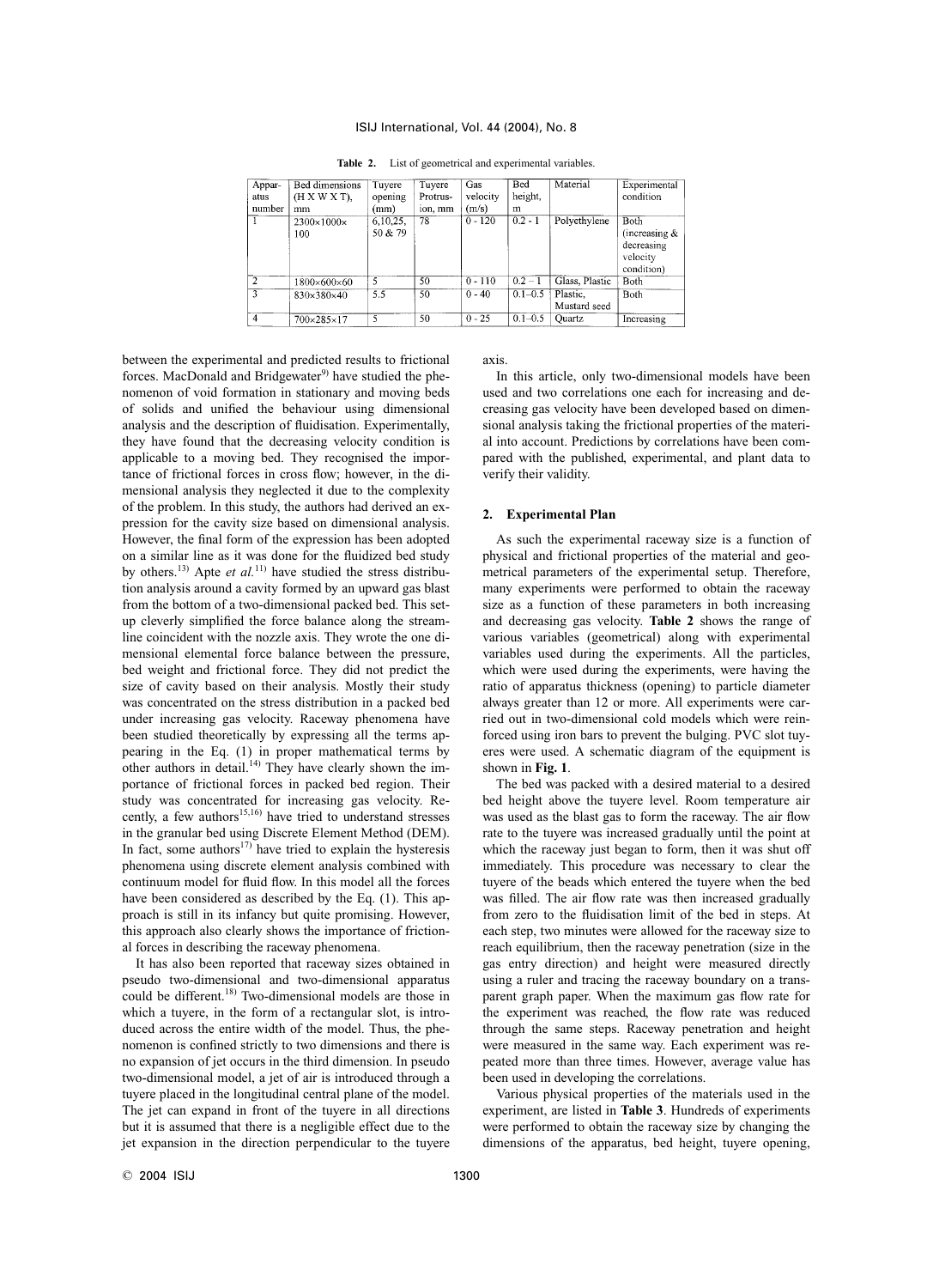| Appar-         | <b>Bed dimensions</b>  | Tuyere   | Tuyere   | Gas       | <b>Bed</b>  | Material       | Experimental    |
|----------------|------------------------|----------|----------|-----------|-------------|----------------|-----------------|
| atus           | $(H X W X T)$ ,        | opening  | Protrus- | velocity  | height,     |                | condition       |
| number         | mm                     | (mm)     | ion, mm  | (m/s)     | m           |                |                 |
|                | $2300\times1000\times$ | 6,10,25, | 78       | $0 - 120$ | $0.2 - 1$   | Polyethylene   | Both            |
|                | 100                    | 50 & 79  |          |           |             |                | (increasing $&$ |
|                |                        |          |          |           |             |                | decreasing      |
|                |                        |          |          |           |             |                | velocity        |
|                |                        |          |          |           |             |                | condition)      |
| $\overline{2}$ | 1800×600×60            | 5        | 50       | $0 - 110$ | $0.2 - 1$   | Glass, Plastic | Both            |
| 3              | 830×380×40             | 5.5      | 50       | $0 - 40$  | $0.1 - 0.5$ | Plastic.       | Both            |
|                |                        |          |          |           |             | Mustard seed   |                 |
| $\overline{4}$ | 700×285×17             | 5        | 50       | $0 - 25$  | $0.1 - 0.5$ | <b>Ouartz</b>  | Increasing      |

**Table 2.** List of geometrical and experimental variables.

between the experimental and predicted results to frictional forces. MacDonald and Bridgewater<sup>9)</sup> have studied the phenomenon of void formation in stationary and moving beds of solids and unified the behaviour using dimensional analysis and the description of fluidisation. Experimentally, they have found that the decreasing velocity condition is applicable to a moving bed. They recognised the importance of frictional forces in cross flow; however, in the dimensional analysis they neglected it due to the complexity of the problem. In this study, the authors had derived an expression for the cavity size based on dimensional analysis. However, the final form of the expression has been adopted on a similar line as it was done for the fluidized bed study by others.13) Apte *et al.*11) have studied the stress distribution analysis around a cavity formed by an upward gas blast from the bottom of a two-dimensional packed bed. This setup cleverly simplified the force balance along the streamline coincident with the nozzle axis. They wrote the one dimensional elemental force balance between the pressure, bed weight and frictional force. They did not predict the size of cavity based on their analysis. Mostly their study was concentrated on the stress distribution in a packed bed under increasing gas velocity. Raceway phenomena have been studied theoretically by expressing all the terms appearing in the Eq. (1) in proper mathematical terms by other authors in detail.<sup>14)</sup> They have clearly shown the importance of frictional forces in packed bed region. Their study was concentrated for increasing gas velocity. Recently, a few authors<sup>15,16)</sup> have tried to understand stresses in the granular bed using Discrete Element Method (DEM). In fact, some authors<sup>17)</sup> have tried to explain the hysteresis phenomena using discrete element analysis combined with continuum model for fluid flow. In this model all the forces have been considered as described by the Eq. (1). This approach is still in its infancy but quite promising. However, this approach also clearly shows the importance of frictional forces in describing the raceway phenomena.

It has also been reported that raceway sizes obtained in pseudo two-dimensional and two-dimensional apparatus could be different.<sup>18)</sup> Two-dimensional models are those in which a tuyere, in the form of a rectangular slot, is introduced across the entire width of the model. Thus, the phenomenon is confined strictly to two dimensions and there is no expansion of jet occurs in the third dimension. In pseudo two-dimensional model, a jet of air is introduced through a tuyere placed in the longitudinal central plane of the model. The jet can expand in front of the tuyere in all directions but it is assumed that there is a negligible effect due to the jet expansion in the direction perpendicular to the tuyere axis.

In this article, only two-dimensional models have been used and two correlations one each for increasing and decreasing gas velocity have been developed based on dimensional analysis taking the frictional properties of the material into account. Predictions by correlations have been compared with the published, experimental, and plant data to verify their validity.

#### **2. Experimental Plan**

As such the experimental raceway size is a function of physical and frictional properties of the material and geometrical parameters of the experimental setup. Therefore, many experiments were performed to obtain the raceway size as a function of these parameters in both increasing and decreasing gas velocity. **Table 2** shows the range of various variables (geometrical) along with experimental variables used during the experiments. All the particles, which were used during the experiments, were having the ratio of apparatus thickness (opening) to particle diameter always greater than 12 or more. All experiments were carried out in two-dimensional cold models which were reinforced using iron bars to prevent the bulging. PVC slot tuyeres were used. A schematic diagram of the equipment is shown in **Fig. 1**.

The bed was packed with a desired material to a desired bed height above the tuyere level. Room temperature air was used as the blast gas to form the raceway. The air flow rate to the tuyere was increased gradually until the point at which the raceway just began to form, then it was shut off immediately. This procedure was necessary to clear the tuyere of the beads which entered the tuyere when the bed was filled. The air flow rate was then increased gradually from zero to the fluidisation limit of the bed in steps. At each step, two minutes were allowed for the raceway size to reach equilibrium, then the raceway penetration (size in the gas entry direction) and height were measured directly using a ruler and tracing the raceway boundary on a transparent graph paper. When the maximum gas flow rate for the experiment was reached, the flow rate was reduced through the same steps. Raceway penetration and height were measured in the same way. Each experiment was repeated more than three times. However, average value has been used in developing the correlations.

Various physical properties of the materials used in the experiment, are listed in **Table 3**. Hundreds of experiments were performed to obtain the raceway size by changing the dimensions of the apparatus, bed height, tuyere opening,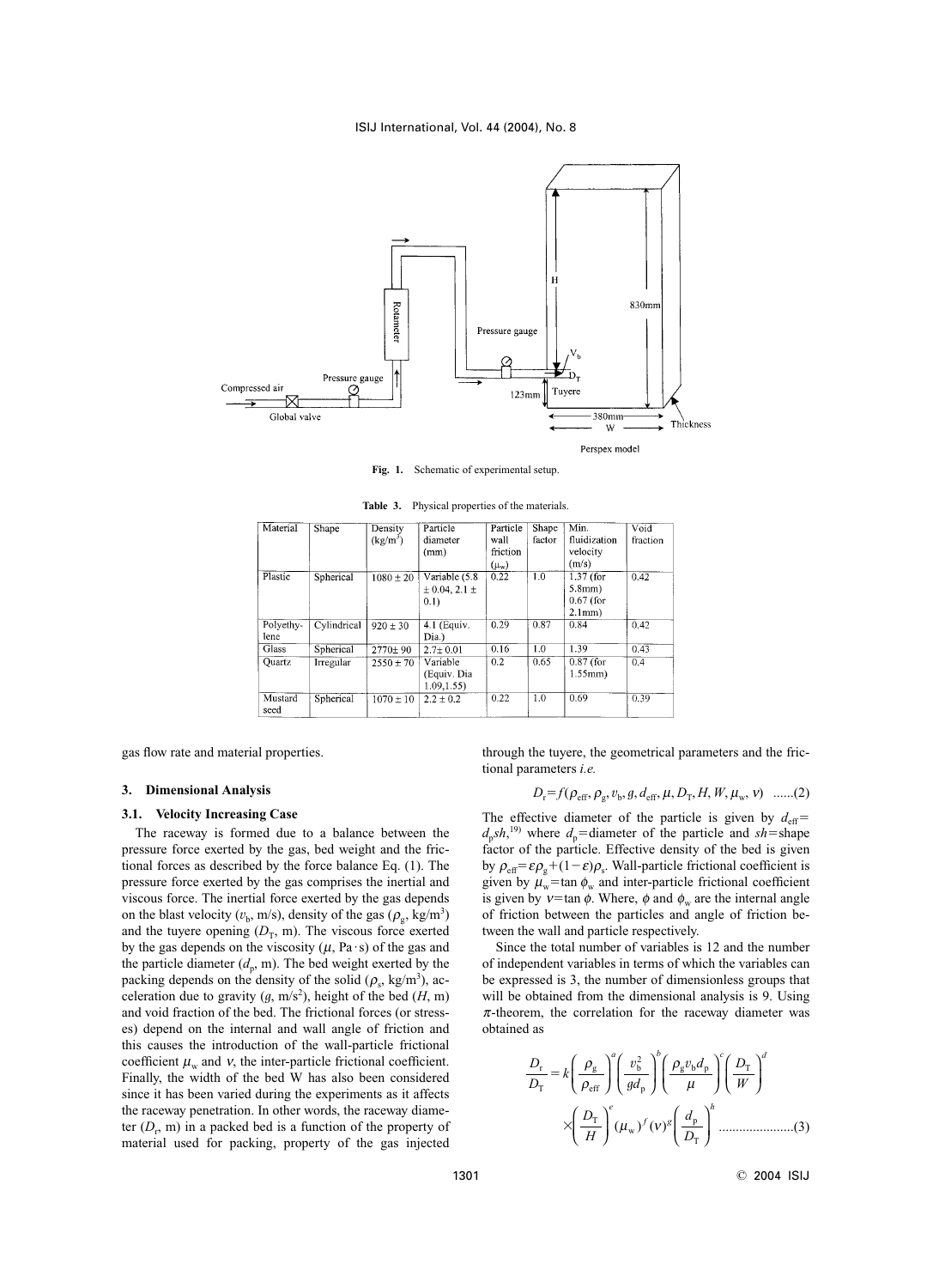

**Fig. 1.** Schematic of experimental setup.

| Material        | Shape       | Density       | Particle              | Particle  | Shape  | Min.         | Void     |
|-----------------|-------------|---------------|-----------------------|-----------|--------|--------------|----------|
|                 |             | $(kg/m^3)$    | diameter              | wall      | factor | fluidization | fraction |
|                 |             |               | (mm)                  | friction  |        | velocity     |          |
|                 |             |               |                       | $(\mu_w)$ |        | (m/s)        |          |
| Plastic         | Spherical   | $1080 \pm 20$ | Variable (5.8         | 0.22      | 1.0    | $1.37$ (for  | 0.42     |
|                 |             |               | $\pm$ 0.04, 2.1 $\pm$ |           |        | $5.8$ mm $)$ |          |
|                 |             |               | 0.1)                  |           |        | $0.67$ (for  |          |
|                 |             |               |                       |           |        | 2.1mm)       |          |
| Polyethy-       | Cylindrical | $920 \pm 30$  | 4.1 (Equiv.           | 0.29      | 0.87   | 0.84         | 0.42     |
| lene            |             |               | Dia.                  |           |        |              |          |
| <b>Glass</b>    | Spherical   | 2770±90       | $2.7 \pm 0.01$        | 0.16      | 1.0    | 1.39         | 0.43     |
| Quartz          | Irregular   | $2550 \pm 70$ | Variable              | 0.2       | 0.65   | $0.87$ (for  | 0.4      |
|                 |             |               | (Equiv. Dia           |           |        | 1.55mm       |          |
|                 |             |               | 1.09, 1.55            |           |        |              |          |
| Mustard<br>seed | Spherical   | $1070 \pm 10$ | $2.2 + 0.2$           | 0.22      | 1.0    | 0.69         | 0.39     |

**Table 3.** Physical properties of the materials.

gas flow rate and material properties.

## **3. Dimensional Analysis**

#### **3.1. Velocity Increasing Case**

The raceway is formed due to a balance between the pressure force exerted by the gas, bed weight and the frictional forces as described by the force balance Eq. (1). The pressure force exerted by the gas comprises the inertial and viscous force. The inertial force exerted by the gas depends on the blast velocity ( $v<sub>b</sub>$ , m/s), density of the gas ( $\rho<sub>g</sub>$ , kg/m<sup>3</sup>) and the tuyere opening  $(D_T, m)$ . The viscous force exerted by the gas depends on the viscosity  $(\mu, \text{Pa} \cdot \text{s})$  of the gas and the particle diameter  $(d_p, m)$ . The bed weight exerted by the packing depends on the density of the solid ( $\rho_s$ , kg/m<sup>3</sup>), acceleration due to gravity  $(g, m/s^2)$ , height of the bed  $(H, m)$ and void fraction of the bed. The frictional forces (or stresses) depend on the internal and wall angle of friction and this causes the introduction of the wall-particle frictional coefficient  $\mu_w$  and v, the inter-particle frictional coefficient. Finally, the width of the bed W has also been considered since it has been varied during the experiments as it affects the raceway penetration. In other words, the raceway diameter  $(D_r, m)$  in a packed bed is a function of the property of material used for packing, property of the gas injected through the tuyere, the geometrical parameters and the frictional parameters *i.e.*

$$
D_{\rm r} = f(\rho_{\rm eff}, \rho_{\rm g}, v_{\rm b}, g, d_{\rm eff}, \mu, D_{\rm T}, H, W, \mu_{\rm w}, v) \quad \dots (2)
$$

The effective diameter of the particle is given by  $d_{\text{eff}} =$  $d_p sh$ <sup>19)</sup> where  $d_p$  = diameter of the particle and  $sh$  = shape factor of the particle. Effective density of the bed is given by  $\rho_{\text{eff}} = \varepsilon \rho_g + (1 - \varepsilon)\rho_s$ . Wall-particle frictional coefficient is given by  $\mu_w = \tan \phi_w$  and inter-particle frictional coefficient is given by  $v=$ tan  $\phi$ . Where,  $\phi$  and  $\phi_w$  are the internal angle of friction between the particles and angle of friction between the wall and particle respectively.

Since the total number of variables is 12 and the number of independent variables in terms of which the variables can be expressed is 3, the number of dimensionless groups that will be obtained from the dimensional analysis is 9. Using  $\pi$ -theorem, the correlation for the raceway diameter was obtained as

 ......................(3) *D H d D e f g h* T w p T ( )() µ <sup>ν</sup> *D D k d d D W a b c d* r T g eff b 2 p gb p <sup>T</sup> ρ ρ ρ µ *v v g*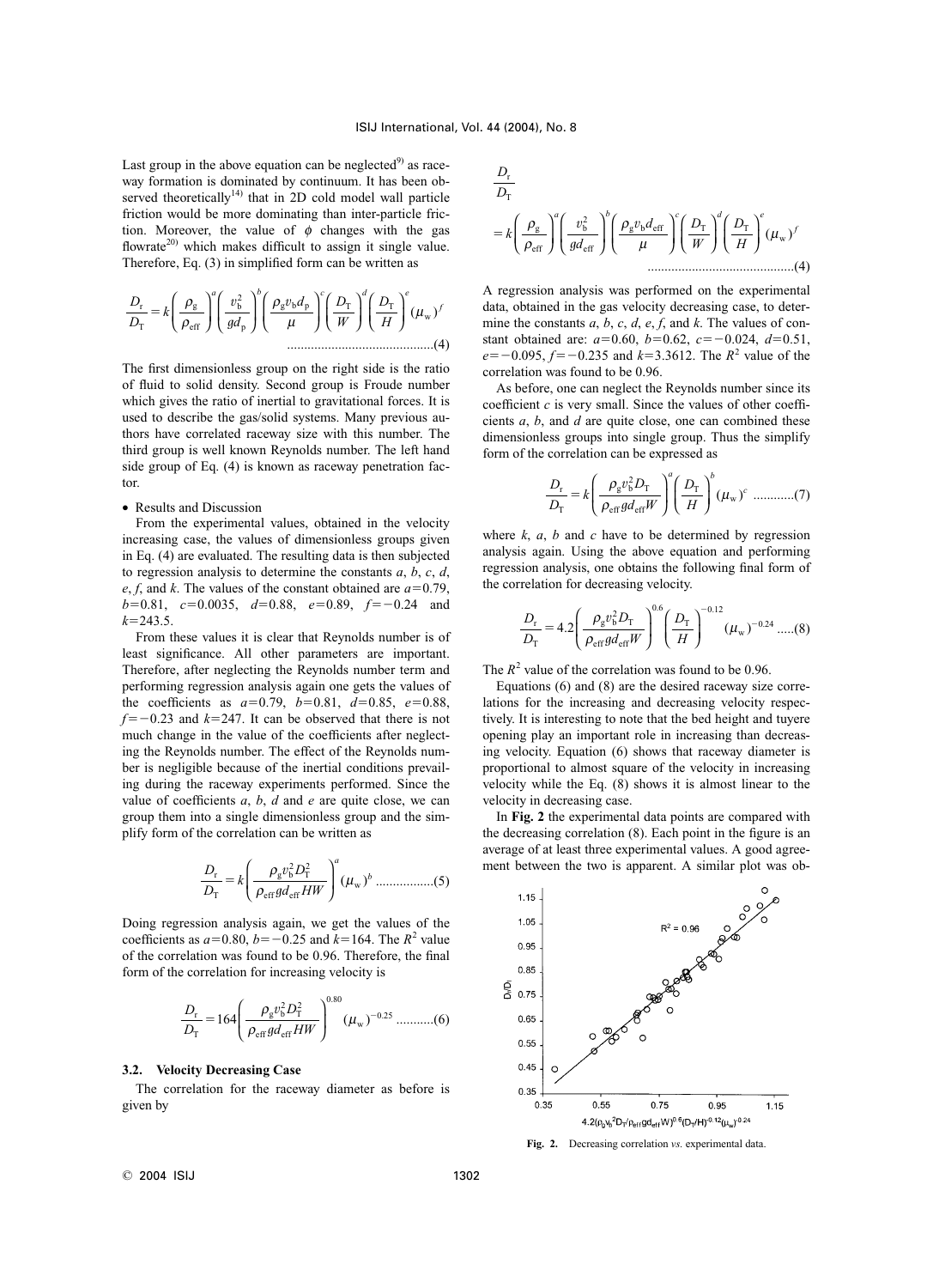Last group in the above equation can be neglected<sup>9)</sup> as raceway formation is dominated by continuum. It has been observed theoretically<sup>14)</sup> that in 2D cold model wall particle friction would be more dominating than inter-particle friction. Moreover, the value of  $\phi$  changes with the gas flowrate<sup>20)</sup> which makes difficult to assign it single value. Therefore, Eq. (3) in simplified form can be written as

...........................................(4) *D D k d d D W D H a b c d e* r *f* T g eff b 2 p gb p T T <sup>w</sup> ρ ρ ρ µ µ *v v g* ( )

The first dimensionless group on the right side is the ratio of fluid to solid density. Second group is Froude number which gives the ratio of inertial to gravitational forces. It is used to describe the gas/solid systems. Many previous authors have correlated raceway size with this number. The third group is well known Reynolds number. The left hand side group of Eq. (4) is known as raceway penetration factor.

#### • Results and Discussion

From the experimental values, obtained in the velocity increasing case, the values of dimensionless groups given in Eq. (4) are evaluated. The resulting data is then subjected to regression analysis to determine the constants *a*, *b*, *c*, *d*, *e*, *f*, and *k*. The values of the constant obtained are  $a=0.79$ ,  $b=0.81$ ,  $c=0.0035$ ,  $d=0.88$ ,  $e=0.89$ ,  $f=-0.24$  and  $k=243.5$ .

From these values it is clear that Reynolds number is of least significance. All other parameters are important. Therefore, after neglecting the Reynolds number term and performing regression analysis again one gets the values of the coefficients as  $a=0.79$ ,  $b=0.81$ ,  $d=0.85$ ,  $e=0.88$ ,  $f=-0.23$  and  $k=247$ . It can be observed that there is not much change in the value of the coefficients after neglecting the Reynolds number. The effect of the Reynolds number is negligible because of the inertial conditions prevailing during the raceway experiments performed. Since the value of coefficients *a*, *b*, *d* and *e* are quite close, we can group them into a single dimensionless group and the simplify form of the correlation can be written as

$$
\frac{D_{\rm r}}{D_{\rm T}} = k \left( \frac{\rho_{\rm g} v_{\rm b}^2 D_{\rm T}^2}{\rho_{\rm eff} g d_{\rm eff} H W} \right)^a (\mu_{\rm w})^b \dots \dots \dots \dots \dots \dots (5)
$$

Doing regression analysis again, we get the values of the coefficients as  $a=0.80$ ,  $b=-0.25$  and  $k=164$ . The  $R^2$  value of the correlation was found to be 0.96. Therefore, the final form of the correlation for increasing velocity is

$$
\frac{D_{\rm r}}{D_{\rm T}} = 164 \left( \frac{\rho_{\rm g} v_{\rm b}^2 D_{\rm T}^2}{\rho_{\rm eff} g d_{\rm eff} H W} \right)^{0.80} (\mu_{\rm w})^{-0.25} \dots \dots \dots (6)
$$

#### **3.2. Velocity Decreasing Case**

The correlation for the raceway diameter as before is given by

...........................................(4) *k d d D W D H a b c d e f* ρ ρ ρ µ µ g eff b 2 eff g b eff T T w *v v g* ( ) *D D* r T

A regression analysis was performed on the experimental data, obtained in the gas velocity decreasing case, to determine the constants *a*, *b*, *c*, *d*, *e*, *f*, and *k*. The values of constant obtained are:  $a=0.60$ ,  $b=0.62$ ,  $c=-0.024$ ,  $d=0.51$ ,  $e = -0.095$ ,  $f = -0.235$  and  $k = 3.3612$ . The  $R^2$  value of the correlation was found to be 0.96.

As before, one can neglect the Reynolds number since its coefficient *c* is very small. Since the values of other coefficients *a*, *b*, and *d* are quite close, one can combined these dimensionless groups into single group. Thus the simplify form of the correlation can be expressed as

$$
\frac{D_{\rm r}}{D_{\rm T}} = k \left( \frac{\rho_{\rm g} v_{\rm b}^2 D_{\rm T}}{\rho_{\rm eff} g d_{\rm eff} W} \right)^a \left( \frac{D_{\rm T}}{H} \right)^b (\mu_{\rm w})^c \ \dots \dots \dots \dots (7)
$$

where *k*, *a*, *b* and *c* have to be determined by regression analysis again. Using the above equation and performing regression analysis, one obtains the following final form of the correlation for decreasing velocity.

$$
\frac{D_{\rm r}}{D_{\rm T}} = 4.2 \left( \frac{\rho_{\rm g} v_{\rm b}^2 D_{\rm T}}{\rho_{\rm eff} g d_{\rm eff} W} \right)^{0.6} \left( \frac{D_{\rm T}}{H} \right)^{-0.12} (\mu_{\rm w})^{-0.24} \dots (8)
$$

The  $R^2$  value of the correlation was found to be 0.96.

Equations (6) and (8) are the desired raceway size correlations for the increasing and decreasing velocity respectively. It is interesting to note that the bed height and tuyere opening play an important role in increasing than decreasing velocity. Equation (6) shows that raceway diameter is proportional to almost square of the velocity in increasing velocity while the Eq. (8) shows it is almost linear to the velocity in decreasing case.

In **Fig. 2** the experimental data points are compared with the decreasing correlation (8). Each point in the figure is an average of at least three experimental values. A good agreement between the two is apparent. A similar plot was ob-



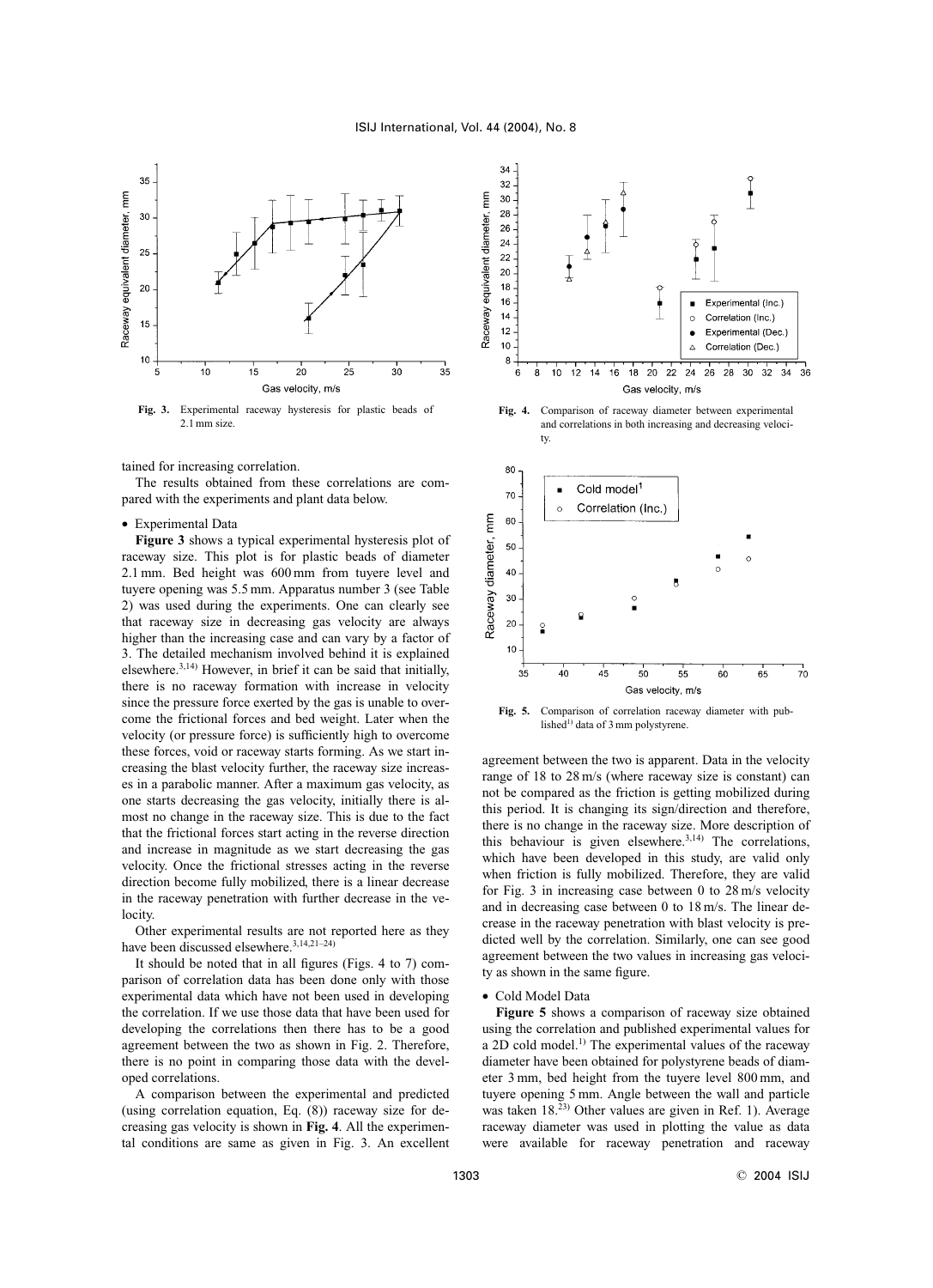

**Fig. 3.** Experimental raceway hysteresis for plastic beads of 2.1 mm size.

tained for increasing correlation.

The results obtained from these correlations are compared with the experiments and plant data below.

#### • Experimental Data

**Figure 3** shows a typical experimental hysteresis plot of raceway size. This plot is for plastic beads of diameter 2.1 mm. Bed height was 600 mm from tuyere level and tuyere opening was 5.5 mm. Apparatus number 3 (see Table 2) was used during the experiments. One can clearly see that raceway size in decreasing gas velocity are always higher than the increasing case and can vary by a factor of 3. The detailed mechanism involved behind it is explained elsewhere.3,14) However, in brief it can be said that initially, there is no raceway formation with increase in velocity since the pressure force exerted by the gas is unable to overcome the frictional forces and bed weight. Later when the velocity (or pressure force) is sufficiently high to overcome these forces, void or raceway starts forming. As we start increasing the blast velocity further, the raceway size increases in a parabolic manner. After a maximum gas velocity, as one starts decreasing the gas velocity, initially there is almost no change in the raceway size. This is due to the fact that the frictional forces start acting in the reverse direction and increase in magnitude as we start decreasing the gas velocity. Once the frictional stresses acting in the reverse direction become fully mobilized, there is a linear decrease in the raceway penetration with further decrease in the velocity.

Other experimental results are not reported here as they have been discussed elsewhere.<sup>3,14,21-24)</sup>

It should be noted that in all figures (Figs. 4 to 7) comparison of correlation data has been done only with those experimental data which have not been used in developing the correlation. If we use those data that have been used for developing the correlations then there has to be a good agreement between the two as shown in Fig. 2. Therefore, there is no point in comparing those data with the developed correlations.

A comparison between the experimental and predicted (using correlation equation, Eq. (8)) raceway size for decreasing gas velocity is shown in **Fig. 4**. All the experimental conditions are same as given in Fig. 3. An excellent



**Fig. 4.** Comparison of raceway diameter between experimental and correlations in both increasing and decreasing velocity.



**Fig. 5.** Comparison of correlation raceway diameter with published<sup>1)</sup> data of 3 mm polystyrene.

agreement between the two is apparent. Data in the velocity range of 18 to 28 m/s (where raceway size is constant) can not be compared as the friction is getting mobilized during this period. It is changing its sign/direction and therefore, there is no change in the raceway size. More description of this behaviour is given elsewhere. $3,14)$  The correlations, which have been developed in this study, are valid only when friction is fully mobilized. Therefore, they are valid for Fig. 3 in increasing case between 0 to 28 m/s velocity and in decreasing case between 0 to 18 m/s. The linear decrease in the raceway penetration with blast velocity is predicted well by the correlation. Similarly, one can see good agreement between the two values in increasing gas velocity as shown in the same figure.

#### • Cold Model Data

**Figure 5** shows a comparison of raceway size obtained using the correlation and published experimental values for a 2D cold model.<sup>1)</sup> The experimental values of the raceway diameter have been obtained for polystyrene beads of diameter 3 mm, bed height from the tuyere level 800 mm, and tuyere opening 5 mm. Angle between the wall and particle was taken 18<sup>23</sup> Other values are given in Ref. 1). Average raceway diameter was used in plotting the value as data were available for raceway penetration and raceway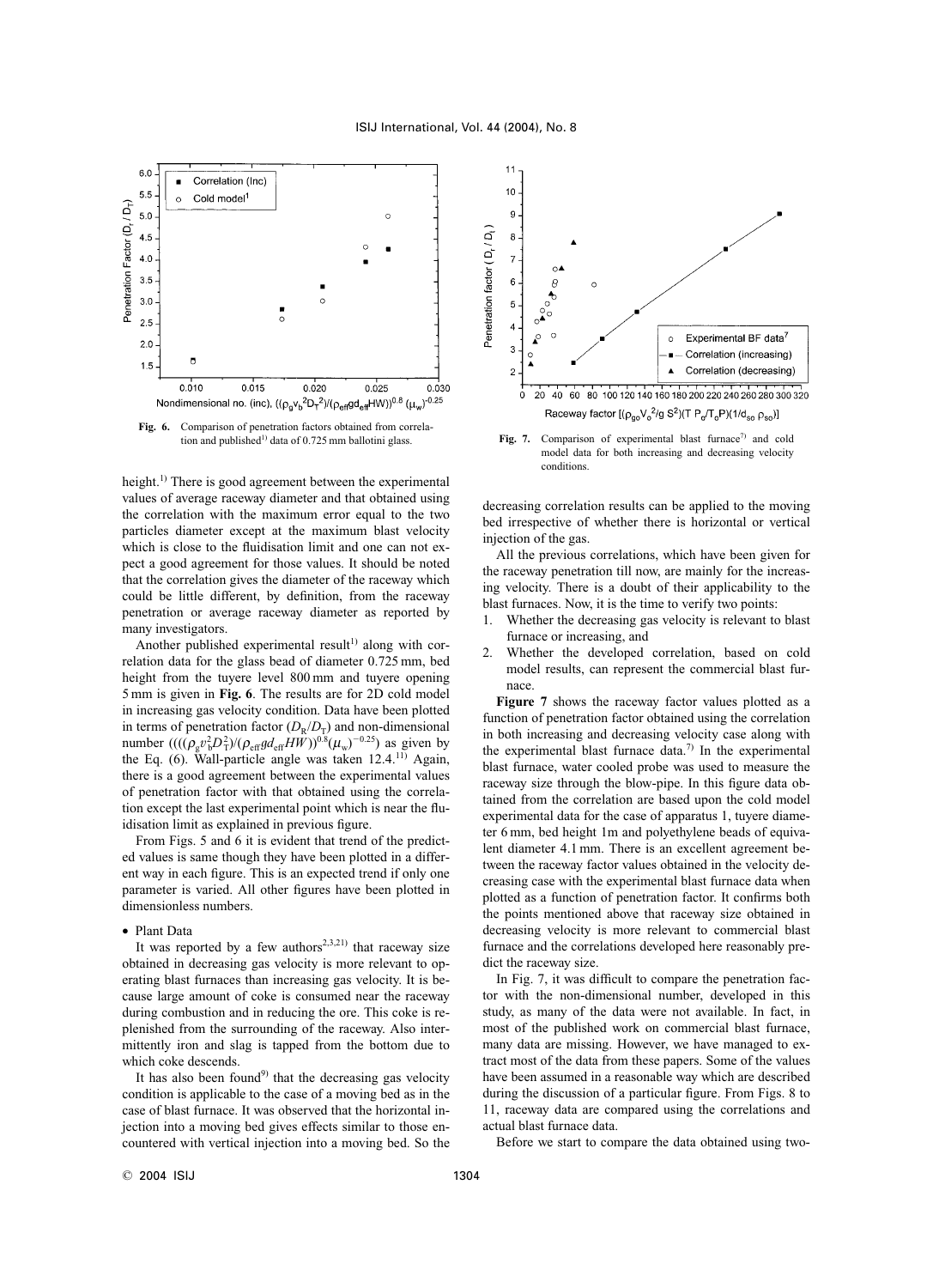

Fig. 6. Comparison of penetration factors obtained from correlation and published<sup>1)</sup> data of 0.725 mm ballotini glass.

height.<sup>1)</sup> There is good agreement between the experimental values of average raceway diameter and that obtained using the correlation with the maximum error equal to the two particles diameter except at the maximum blast velocity which is close to the fluidisation limit and one can not expect a good agreement for those values. It should be noted that the correlation gives the diameter of the raceway which could be little different, by definition, from the raceway penetration or average raceway diameter as reported by many investigators.

Another published experimental result<sup>1)</sup> along with correlation data for the glass bead of diameter 0.725 mm, bed height from the tuyere level 800 mm and tuyere opening 5 mm is given in **Fig. 6**. The results are for 2D cold model in increasing gas velocity condition. Data have been plotted in terms of penetration factor  $(D_R/D_T)$  and non-dimensional number  $(((\rho_g v_b^2 D_T^2)/(\rho_{\text{eff}}gd_{\text{eff}}H\hat{W}))^{0.8}(\mu_w)^{-0.25})$  as given by the Eq. (6). Wall-particle angle was taken  $12.4$ .<sup>11)</sup> Again, there is a good agreement between the experimental values of penetration factor with that obtained using the correlation except the last experimental point which is near the fluidisation limit as explained in previous figure.

From Figs. 5 and 6 it is evident that trend of the predicted values is same though they have been plotted in a different way in each figure. This is an expected trend if only one parameter is varied. All other figures have been plotted in dimensionless numbers.

## • Plant Data

It was reported by a few authors<sup>2,3,21)</sup> that raceway size obtained in decreasing gas velocity is more relevant to operating blast furnaces than increasing gas velocity. It is because large amount of coke is consumed near the raceway during combustion and in reducing the ore. This coke is replenished from the surrounding of the raceway. Also intermittently iron and slag is tapped from the bottom due to which coke descends.

It has also been found<sup>9)</sup> that the decreasing gas velocity condition is applicable to the case of a moving bed as in the case of blast furnace. It was observed that the horizontal injection into a moving bed gives effects similar to those encountered with vertical injection into a moving bed. So the



model data for both increasing and decreasing velocity conditions.

decreasing correlation results can be applied to the moving bed irrespective of whether there is horizontal or vertical injection of the gas.

All the previous correlations, which have been given for the raceway penetration till now, are mainly for the increasing velocity. There is a doubt of their applicability to the blast furnaces. Now, it is the time to verify two points:

- Whether the decreasing gas velocity is relevant to blast furnace or increasing, and
- 2. Whether the developed correlation, based on cold model results, can represent the commercial blast furnace.

**Figure 7** shows the raceway factor values plotted as a function of penetration factor obtained using the correlation in both increasing and decreasing velocity case along with the experimental blast furnace data.<sup>7)</sup> In the experimental blast furnace, water cooled probe was used to measure the raceway size through the blow-pipe. In this figure data obtained from the correlation are based upon the cold model experimental data for the case of apparatus 1, tuyere diameter 6 mm, bed height 1m and polyethylene beads of equivalent diameter 4.1 mm. There is an excellent agreement between the raceway factor values obtained in the velocity decreasing case with the experimental blast furnace data when plotted as a function of penetration factor. It confirms both the points mentioned above that raceway size obtained in decreasing velocity is more relevant to commercial blast furnace and the correlations developed here reasonably predict the raceway size.

In Fig. 7, it was difficult to compare the penetration factor with the non-dimensional number, developed in this study, as many of the data were not available. In fact, in most of the published work on commercial blast furnace, many data are missing. However, we have managed to extract most of the data from these papers. Some of the values have been assumed in a reasonable way which are described during the discussion of a particular figure. From Figs. 8 to 11, raceway data are compared using the correlations and actual blast furnace data.

Before we start to compare the data obtained using two-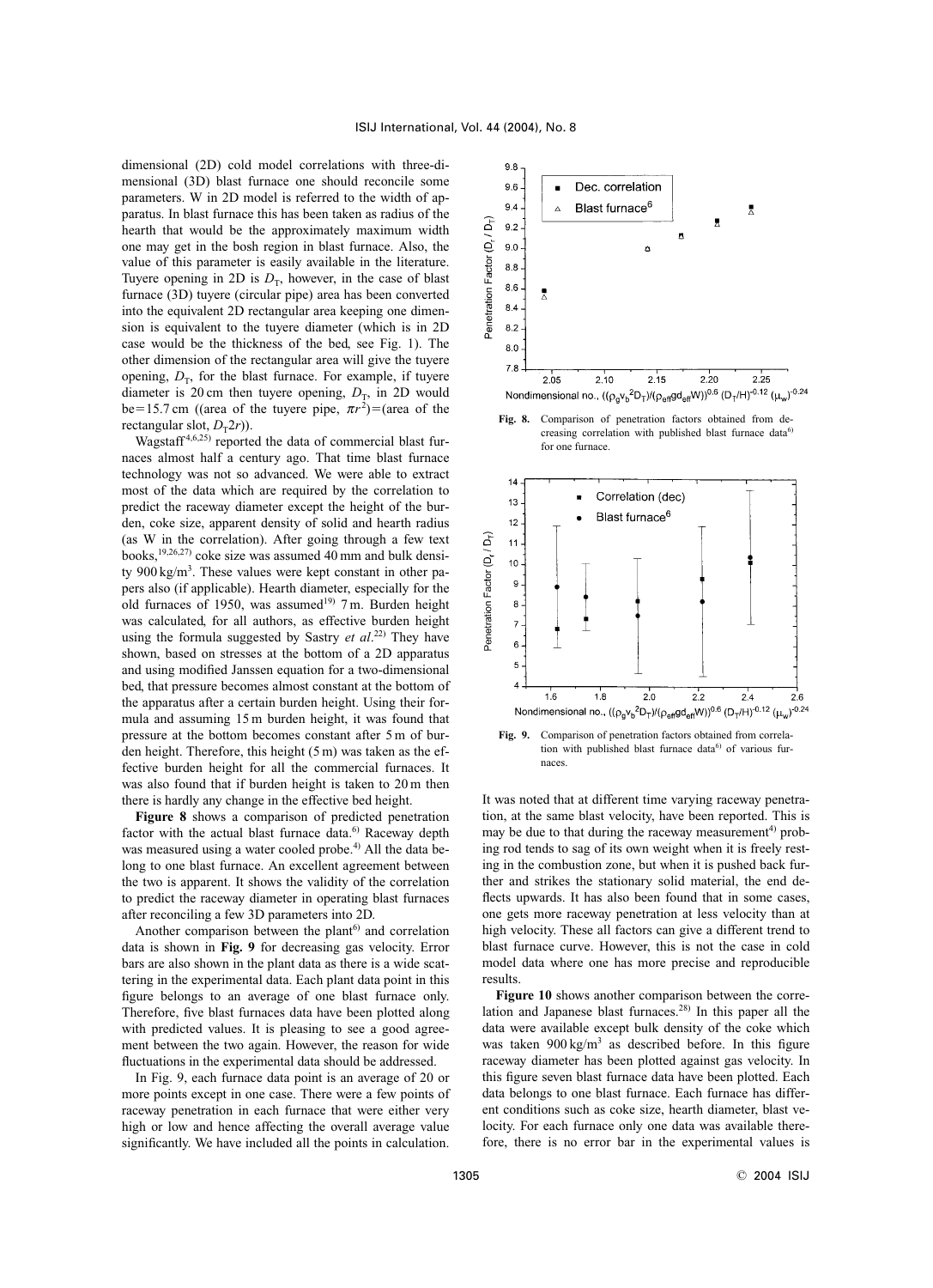dimensional (2D) cold model correlations with three-dimensional (3D) blast furnace one should reconcile some parameters. W in 2D model is referred to the width of apparatus. In blast furnace this has been taken as radius of the hearth that would be the approximately maximum width one may get in the bosh region in blast furnace. Also, the value of this parameter is easily available in the literature. Tuyere opening in 2D is  $D<sub>T</sub>$ , however, in the case of blast furnace (3D) tuyere (circular pipe) area has been converted into the equivalent 2D rectangular area keeping one dimension is equivalent to the tuyere diameter (which is in 2D case would be the thickness of the bed, see Fig. 1). The other dimension of the rectangular area will give the tuyere opening,  $D_T$ , for the blast furnace. For example, if tuyere diameter is 20 cm then tuyere opening,  $D_{\text{T}}$ , in 2D would be=15.7 cm ((area of the tuyere pipe,  $\pi r^2$ )=(area of the rectangular slot,  $D_T 2r$ ).

Wagstaff<sup>4,6,25)</sup> reported the data of commercial blast furnaces almost half a century ago. That time blast furnace technology was not so advanced. We were able to extract most of the data which are required by the correlation to predict the raceway diameter except the height of the burden, coke size, apparent density of solid and hearth radius (as W in the correlation). After going through a few text books,<sup>19,26,27)</sup> coke size was assumed 40 mm and bulk density 900 kg/m<sup>3</sup>. These values were kept constant in other papers also (if applicable). Hearth diameter, especially for the old furnaces of 1950, was assumed<sup>19)</sup> 7 m. Burden height was calculated, for all authors, as effective burden height using the formula suggested by Sastry *et al.*<sup>22)</sup> They have shown, based on stresses at the bottom of a 2D apparatus and using modified Janssen equation for a two-dimensional bed, that pressure becomes almost constant at the bottom of the apparatus after a certain burden height. Using their formula and assuming 15 m burden height, it was found that pressure at the bottom becomes constant after 5 m of burden height. Therefore, this height (5 m) was taken as the effective burden height for all the commercial furnaces. It was also found that if burden height is taken to 20 m then there is hardly any change in the effective bed height.

**Figure 8** shows a comparison of predicted penetration factor with the actual blast furnace data. $6$  Raceway depth was measured using a water cooled probe.<sup>4)</sup> All the data belong to one blast furnace. An excellent agreement between the two is apparent. It shows the validity of the correlation to predict the raceway diameter in operating blast furnaces after reconciling a few 3D parameters into 2D.

Another comparison between the plant<sup> $6$ </sup> and correlation data is shown in **Fig. 9** for decreasing gas velocity. Error bars are also shown in the plant data as there is a wide scattering in the experimental data. Each plant data point in this figure belongs to an average of one blast furnace only. Therefore, five blast furnaces data have been plotted along with predicted values. It is pleasing to see a good agreement between the two again. However, the reason for wide fluctuations in the experimental data should be addressed.

In Fig. 9, each furnace data point is an average of 20 or more points except in one case. There were a few points of raceway penetration in each furnace that were either very high or low and hence affecting the overall average value significantly. We have included all the points in calculation.



**Fig. 8.** Comparison of penetration factors obtained from decreasing correlation with published blast furnace data<sup>6)</sup> for one furnace.



**Fig. 9.** Comparison of penetration factors obtained from correlation with published blast furnace data<sup>6)</sup> of various furnaces.

It was noted that at different time varying raceway penetration, at the same blast velocity, have been reported. This is may be due to that during the raceway measurement<sup>4)</sup> probing rod tends to sag of its own weight when it is freely resting in the combustion zone, but when it is pushed back further and strikes the stationary solid material, the end deflects upwards. It has also been found that in some cases, one gets more raceway penetration at less velocity than at high velocity. These all factors can give a different trend to blast furnace curve. However, this is not the case in cold model data where one has more precise and reproducible results.

**Figure 10** shows another comparison between the correlation and Japanese blast furnaces.28) In this paper all the data were available except bulk density of the coke which was taken  $900 \text{ kg/m}^3$  as described before. In this figure raceway diameter has been plotted against gas velocity. In this figure seven blast furnace data have been plotted. Each data belongs to one blast furnace. Each furnace has different conditions such as coke size, hearth diameter, blast velocity. For each furnace only one data was available therefore, there is no error bar in the experimental values is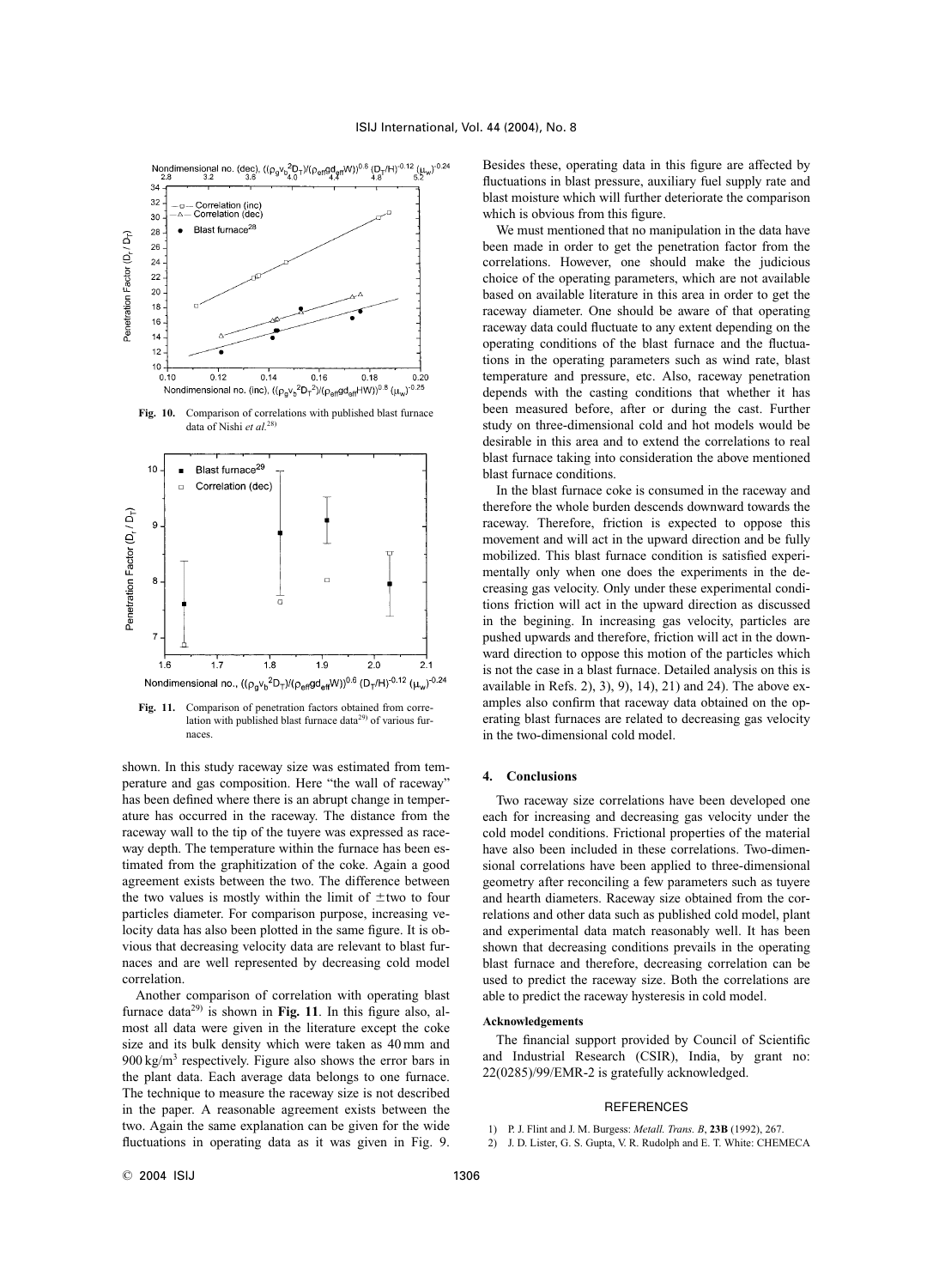

**Fig. 10.** Comparison of correlations with published blast furnace data of Nishi *et al.*28)



**Fig. 11.** Comparison of penetration factors obtained from correlation with published blast furnace data<sup>29)</sup> of various furnaces.

shown. In this study raceway size was estimated from temperature and gas composition. Here "the wall of raceway" has been defined where there is an abrupt change in temperature has occurred in the raceway. The distance from the raceway wall to the tip of the tuyere was expressed as raceway depth. The temperature within the furnace has been estimated from the graphitization of the coke. Again a good agreement exists between the two. The difference between the two values is mostly within the limit of  $\pm$ two to four particles diameter. For comparison purpose, increasing velocity data has also been plotted in the same figure. It is obvious that decreasing velocity data are relevant to blast furnaces and are well represented by decreasing cold model correlation.

Another comparison of correlation with operating blast furnace data<sup>29)</sup> is shown in **Fig. 11**. In this figure also, almost all data were given in the literature except the coke size and its bulk density which were taken as 40 mm and  $900 \text{ kg/m}^3$  respectively. Figure also shows the error bars in the plant data. Each average data belongs to one furnace. The technique to measure the raceway size is not described in the paper. A reasonable agreement exists between the two. Again the same explanation can be given for the wide fluctuations in operating data as it was given in Fig. 9.

Besides these, operating data in this figure are affected by fluctuations in blast pressure, auxiliary fuel supply rate and blast moisture which will further deteriorate the comparison which is obvious from this figure.

We must mentioned that no manipulation in the data have been made in order to get the penetration factor from the correlations. However, one should make the judicious choice of the operating parameters, which are not available based on available literature in this area in order to get the raceway diameter. One should be aware of that operating raceway data could fluctuate to any extent depending on the operating conditions of the blast furnace and the fluctuations in the operating parameters such as wind rate, blast temperature and pressure, etc. Also, raceway penetration depends with the casting conditions that whether it has been measured before, after or during the cast. Further study on three-dimensional cold and hot models would be desirable in this area and to extend the correlations to real blast furnace taking into consideration the above mentioned blast furnace conditions.

In the blast furnace coke is consumed in the raceway and therefore the whole burden descends downward towards the raceway. Therefore, friction is expected to oppose this movement and will act in the upward direction and be fully mobilized. This blast furnace condition is satisfied experimentally only when one does the experiments in the decreasing gas velocity. Only under these experimental conditions friction will act in the upward direction as discussed in the begining. In increasing gas velocity, particles are pushed upwards and therefore, friction will act in the downward direction to oppose this motion of the particles which is not the case in a blast furnace. Detailed analysis on this is available in Refs. 2), 3), 9), 14), 21) and 24). The above examples also confirm that raceway data obtained on the operating blast furnaces are related to decreasing gas velocity in the two-dimensional cold model.

#### **4. Conclusions**

Two raceway size correlations have been developed one each for increasing and decreasing gas velocity under the cold model conditions. Frictional properties of the material have also been included in these correlations. Two-dimensional correlations have been applied to three-dimensional geometry after reconciling a few parameters such as tuyere and hearth diameters. Raceway size obtained from the correlations and other data such as published cold model, plant and experimental data match reasonably well. It has been shown that decreasing conditions prevails in the operating blast furnace and therefore, decreasing correlation can be used to predict the raceway size. Both the correlations are able to predict the raceway hysteresis in cold model.

#### **Acknowledgements**

The financial support provided by Council of Scientific and Industrial Research (CSIR), India, by grant no: 22(0285)/99/EMR-2 is gratefully acknowledged.

#### **REFERENCES**

- 1) P. J. Flint and J. M. Burgess: *Metall. Trans. B*, **23B** (1992), 267.
- 2) J. D. Lister, G. S. Gupta, V. R. Rudolph and E. T. White: CHEMECA